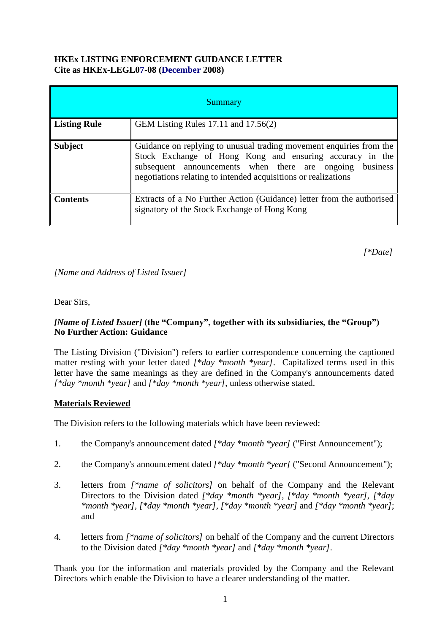### **HKEx LISTING ENFORCEMENT GUIDANCE LETTER Cite as HKEx-LEGL07-08 (December 2008)**

| <b>Summary</b>      |                                                                                                                                                                                                                                                               |
|---------------------|---------------------------------------------------------------------------------------------------------------------------------------------------------------------------------------------------------------------------------------------------------------|
| <b>Listing Rule</b> | GEM Listing Rules 17.11 and 17.56(2)                                                                                                                                                                                                                          |
| <b>Subject</b>      | Guidance on replying to unusual trading movement enquiries from the<br>Stock Exchange of Hong Kong and ensuring accuracy in the<br>subsequent announcements when there are ongoing business<br>negotiations relating to intended acquisitions or realizations |
| <b>Contents</b>     | Extracts of a No Further Action (Guidance) letter from the authorised<br>signatory of the Stock Exchange of Hong Kong                                                                                                                                         |

*[\*Date]*

*[Name and Address of Listed Issuer]*

Dear Sirs,

## *[Name of Listed Issuer]* **(the "Company", together with its subsidiaries, the "Group") No Further Action: Guidance**

The Listing Division ("Division") refers to earlier correspondence concerning the captioned matter resting with your letter dated *[\*day \*month \*year]*. Capitalized terms used in this letter have the same meanings as they are defined in the Company's announcements dated *[\*day \*month \*year]* and *[\*day \*month \*year]*, unless otherwise stated.

## **Materials Reviewed**

The Division refers to the following materials which have been reviewed:

- 1. the Company's announcement dated *[\*day \*month \*year]* ("First Announcement");
- 2. the Company's announcement dated *[\*day \*month \*year]* ("Second Announcement");
- 3. letters from *[\*name of solicitors]* on behalf of the Company and the Relevant Directors to the Division dated *[\*day \*month \*year]*, *[\*day \*month \*year]*, *[\*day \*month \*year]*, *[\*day \*month \*year]*, *[\*day \*month \*year]* and *[\*day \*month \*year]*; and
- 4. letters from *[\*name of solicitors]* on behalf of the Company and the current Directors to the Division dated *[\*day \*month \*year]* and *[\*day \*month \*year]*.

Thank you for the information and materials provided by the Company and the Relevant Directors which enable the Division to have a clearer understanding of the matter.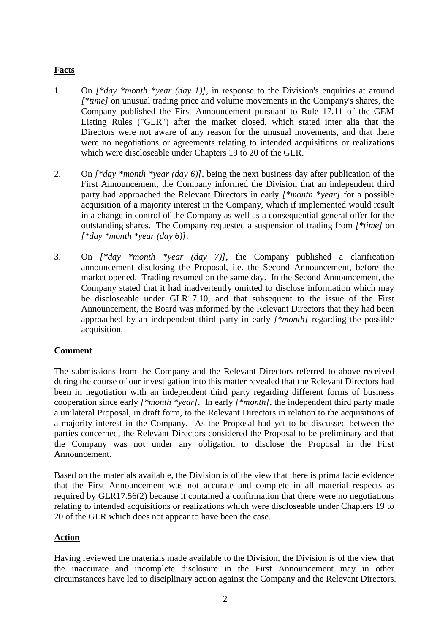## **Facts**

- 1. On *[\*day \*month \*year (day 1)]*, in response to the Division's enquiries at around *[\*time]* on unusual trading price and volume movements in the Company's shares, the Company published the First Announcement pursuant to Rule 17.11 of the GEM Listing Rules ("GLR") after the market closed, which stated inter alia that the Directors were not aware of any reason for the unusual movements, and that there were no negotiations or agreements relating to intended acquisitions or realizations which were discloseable under Chapters 19 to 20 of the GLR.
- 2. On *[\*day \*month \*year (day 6)]*, being the next business day after publication of the First Announcement, the Company informed the Division that an independent third party had approached the Relevant Directors in early *[\*month \*year]* for a possible acquisition of a majority interest in the Company, which if implemented would result in a change in control of the Company as well as a consequential general offer for the outstanding shares. The Company requested a suspension of trading from *[\*time]* on *[\*day \*month \*year (day 6)]*.
- 3. On *[\*day \*month \*year (day 7)]*, the Company published a clarification announcement disclosing the Proposal, i.e. the Second Announcement, before the market opened. Trading resumed on the same day. In the Second Announcement, the Company stated that it had inadvertently omitted to disclose information which may be discloseable under GLR17.10, and that subsequent to the issue of the First Announcement, the Board was informed by the Relevant Directors that they had been approached by an independent third party in early *[\*month]* regarding the possible acquisition.

#### **Comment**

The submissions from the Company and the Relevant Directors referred to above received during the course of our investigation into this matter revealed that the Relevant Directors had been in negotiation with an independent third party regarding different forms of business cooperation since early *[\*month \*year]*. In early *[\*month]*, the independent third party made a unilateral Proposal, in draft form, to the Relevant Directors in relation to the acquisitions of a majority interest in the Company. As the Proposal had yet to be discussed between the parties concerned, the Relevant Directors considered the Proposal to be preliminary and that the Company was not under any obligation to disclose the Proposal in the First Announcement.

Based on the materials available, the Division is of the view that there is prima facie evidence that the First Announcement was not accurate and complete in all material respects as required by GLR17.56(2) because it contained a confirmation that there were no negotiations relating to intended acquisitions or realizations which were discloseable under Chapters 19 to 20 of the GLR which does not appear to have been the case.

#### **Action**

Having reviewed the materials made available to the Division, the Division is of the view that the inaccurate and incomplete disclosure in the First Announcement may in other circumstances have led to disciplinary action against the Company and the Relevant Directors.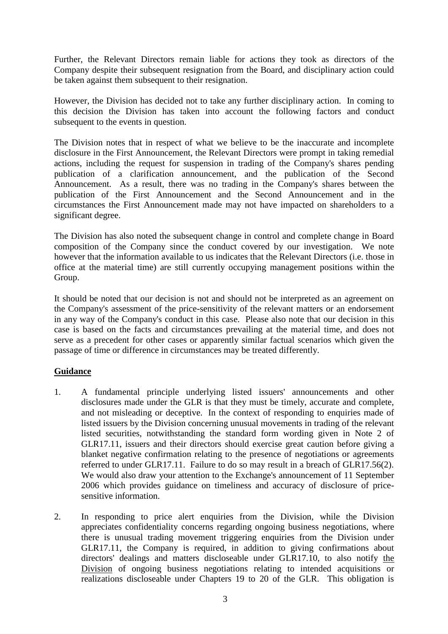Further, the Relevant Directors remain liable for actions they took as directors of the Company despite their subsequent resignation from the Board, and disciplinary action could be taken against them subsequent to their resignation.

However, the Division has decided not to take any further disciplinary action. In coming to this decision the Division has taken into account the following factors and conduct subsequent to the events in question.

The Division notes that in respect of what we believe to be the inaccurate and incomplete disclosure in the First Announcement, the Relevant Directors were prompt in taking remedial actions, including the request for suspension in trading of the Company's shares pending publication of a clarification announcement, and the publication of the Second Announcement. As a result, there was no trading in the Company's shares between the publication of the First Announcement and the Second Announcement and in the circumstances the First Announcement made may not have impacted on shareholders to a significant degree.

The Division has also noted the subsequent change in control and complete change in Board composition of the Company since the conduct covered by our investigation. We note however that the information available to us indicates that the Relevant Directors (i.e. those in office at the material time) are still currently occupying management positions within the Group.

It should be noted that our decision is not and should not be interpreted as an agreement on the Company's assessment of the price-sensitivity of the relevant matters or an endorsement in any way of the Company's conduct in this case. Please also note that our decision in this case is based on the facts and circumstances prevailing at the material time, and does not serve as a precedent for other cases or apparently similar factual scenarios which given the passage of time or difference in circumstances may be treated differently.

## **Guidance**

- 1. A fundamental principle underlying listed issuers' announcements and other disclosures made under the GLR is that they must be timely, accurate and complete, and not misleading or deceptive. In the context of responding to enquiries made of listed issuers by the Division concerning unusual movements in trading of the relevant listed securities, notwithstanding the standard form wording given in Note 2 of GLR17.11, issuers and their directors should exercise great caution before giving a blanket negative confirmation relating to the presence of negotiations or agreements referred to under GLR17.11. Failure to do so may result in a breach of GLR17.56(2). We would also draw your attention to the Exchange's announcement of 11 September 2006 which provides guidance on timeliness and accuracy of disclosure of pricesensitive information.
- 2. In responding to price alert enquiries from the Division, while the Division appreciates confidentiality concerns regarding ongoing business negotiations, where there is unusual trading movement triggering enquiries from the Division under GLR17.11, the Company is required, in addition to giving confirmations about directors' dealings and matters discloseable under GLR17.10, to also notify the Division of ongoing business negotiations relating to intended acquisitions or realizations discloseable under Chapters 19 to 20 of the GLR. This obligation is